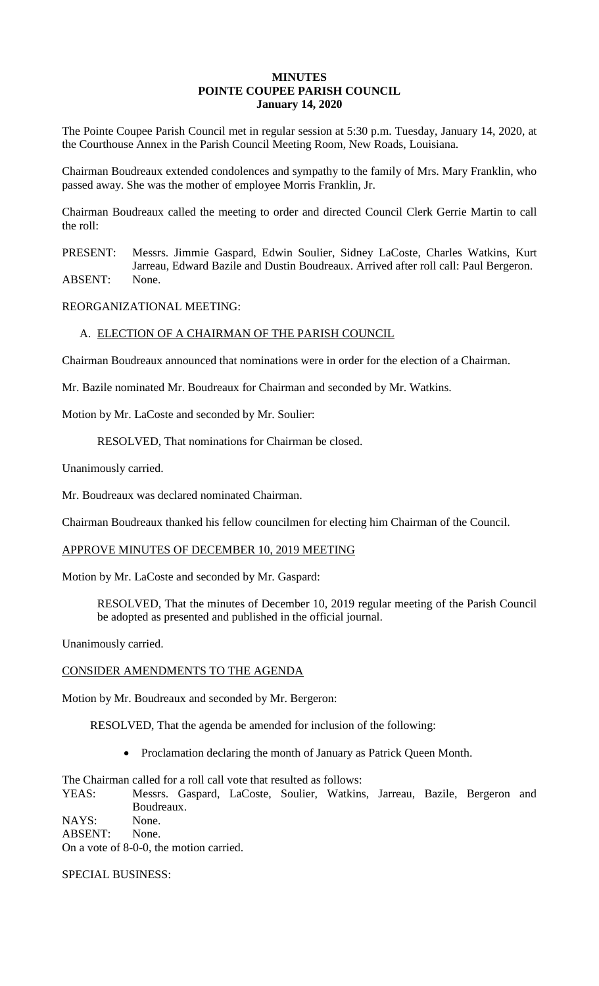### **MINUTES POINTE COUPEE PARISH COUNCIL January 14, 2020**

The Pointe Coupee Parish Council met in regular session at 5:30 p.m. Tuesday, January 14, 2020, at the Courthouse Annex in the Parish Council Meeting Room, New Roads, Louisiana.

Chairman Boudreaux extended condolences and sympathy to the family of Mrs. Mary Franklin, who passed away. She was the mother of employee Morris Franklin, Jr.

Chairman Boudreaux called the meeting to order and directed Council Clerk Gerrie Martin to call the roll:

PRESENT: Messrs. Jimmie Gaspard, Edwin Soulier, Sidney LaCoste, Charles Watkins, Kurt Jarreau, Edward Bazile and Dustin Boudreaux. Arrived after roll call: Paul Bergeron. ABSENT: None.

REORGANIZATIONAL MEETING:

# A. ELECTION OF A CHAIRMAN OF THE PARISH COUNCIL

Chairman Boudreaux announced that nominations were in order for the election of a Chairman.

Mr. Bazile nominated Mr. Boudreaux for Chairman and seconded by Mr. Watkins.

Motion by Mr. LaCoste and seconded by Mr. Soulier:

RESOLVED, That nominations for Chairman be closed.

Unanimously carried.

Mr. Boudreaux was declared nominated Chairman.

Chairman Boudreaux thanked his fellow councilmen for electing him Chairman of the Council.

#### APPROVE MINUTES OF DECEMBER 10, 2019 MEETING

Motion by Mr. LaCoste and seconded by Mr. Gaspard:

RESOLVED, That the minutes of December 10, 2019 regular meeting of the Parish Council be adopted as presented and published in the official journal.

Unanimously carried.

#### CONSIDER AMENDMENTS TO THE AGENDA

Motion by Mr. Boudreaux and seconded by Mr. Bergeron:

RESOLVED, That the agenda be amended for inclusion of the following:

• Proclamation declaring the month of January as Patrick Queen Month.

The Chairman called for a roll call vote that resulted as follows:

YEAS: Messrs. Gaspard, LaCoste, Soulier, Watkins, Jarreau, Bazile, Bergeron and Boudreaux.

NAYS: None.

ABSENT: None.

On a vote of 8-0-0, the motion carried.

SPECIAL BUSINESS: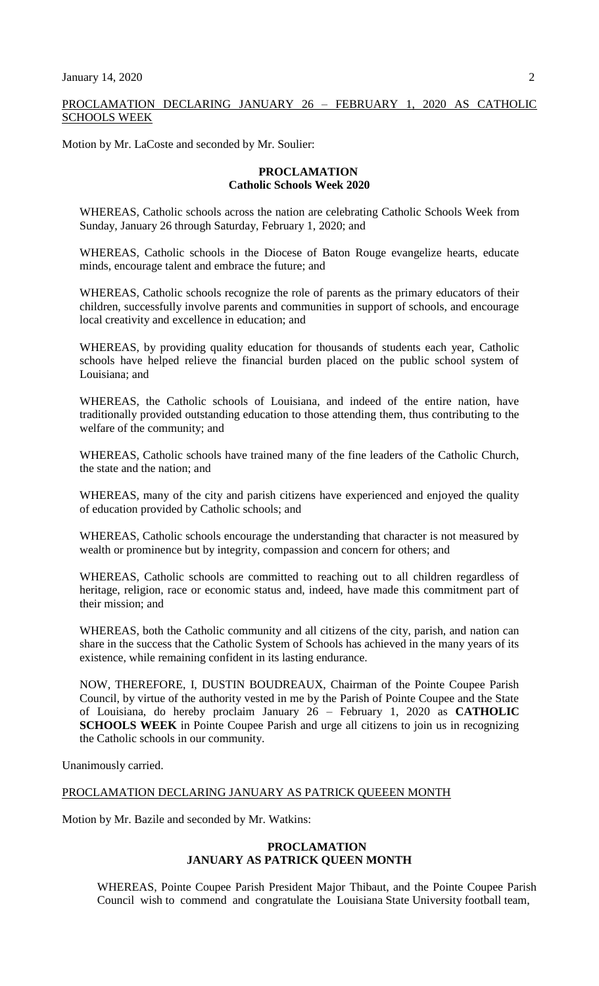### PROCLAMATION DECLARING JANUARY 26 – FEBRUARY 1, 2020 AS CATHOLIC SCHOOLS WEEK

Motion by Mr. LaCoste and seconded by Mr. Soulier:

### **PROCLAMATION Catholic Schools Week 2020**

WHEREAS, Catholic schools across the nation are celebrating Catholic Schools Week from Sunday, January 26 through Saturday, February 1, 2020; and

WHEREAS, Catholic schools in the Diocese of Baton Rouge evangelize hearts, educate minds, encourage talent and embrace the future; and

WHEREAS, Catholic schools recognize the role of parents as the primary educators of their children, successfully involve parents and communities in support of schools, and encourage local creativity and excellence in education; and

WHEREAS, by providing quality education for thousands of students each year, Catholic schools have helped relieve the financial burden placed on the public school system of Louisiana; and

WHEREAS, the Catholic schools of Louisiana, and indeed of the entire nation, have traditionally provided outstanding education to those attending them, thus contributing to the welfare of the community; and

WHEREAS, Catholic schools have trained many of the fine leaders of the Catholic Church, the state and the nation; and

WHEREAS, many of the city and parish citizens have experienced and enjoyed the quality of education provided by Catholic schools; and

WHEREAS, Catholic schools encourage the understanding that character is not measured by wealth or prominence but by integrity, compassion and concern for others; and

WHEREAS, Catholic schools are committed to reaching out to all children regardless of heritage, religion, race or economic status and, indeed, have made this commitment part of their mission; and

WHEREAS, both the Catholic community and all citizens of the city, parish, and nation can share in the success that the Catholic System of Schools has achieved in the many years of its existence, while remaining confident in its lasting endurance.

NOW, THEREFORE, I, DUSTIN BOUDREAUX, Chairman of the Pointe Coupee Parish Council, by virtue of the authority vested in me by the Parish of Pointe Coupee and the State of Louisiana, do hereby proclaim January 26 – February 1, 2020 as **CATHOLIC SCHOOLS WEEK** in Pointe Coupee Parish and urge all citizens to join us in recognizing the Catholic schools in our community.

Unanimously carried.

# PROCLAMATION DECLARING JANUARY AS PATRICK QUEEEN MONTH

Motion by Mr. Bazile and seconded by Mr. Watkins:

# **PROCLAMATION JANUARY AS PATRICK QUEEN MONTH**

WHEREAS, Pointe Coupee Parish President Major Thibaut, and the Pointe Coupee Parish Council wish to commend and congratulate the Louisiana State University football team,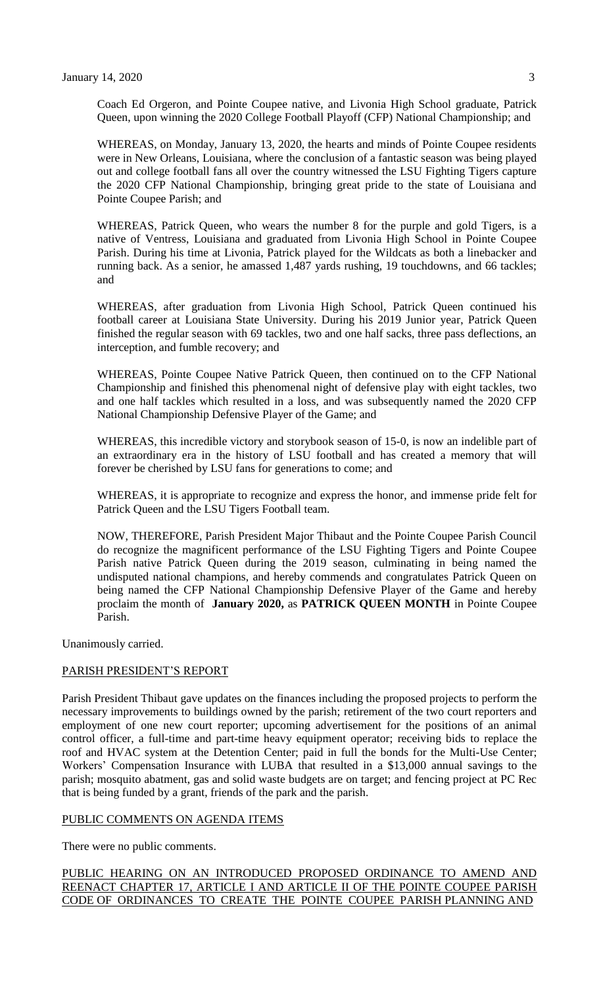Coach Ed Orgeron, and Pointe Coupee native, and Livonia High School graduate, Patrick Queen, upon winning the 2020 College Football Playoff (CFP) National Championship; and

WHEREAS, on Monday, January 13, 2020, the hearts and minds of Pointe Coupee residents were in New Orleans, Louisiana, where the conclusion of a fantastic season was being played out and college football fans all over the country witnessed the LSU Fighting Tigers capture the 2020 CFP National Championship, bringing great pride to the state of Louisiana and Pointe Coupee Parish; and

WHEREAS, Patrick Queen, who wears the number 8 for the purple and gold Tigers, is a native of Ventress, Louisiana and graduated from Livonia High School in Pointe Coupee Parish. During his time at Livonia, Patrick played for the Wildcats as both a linebacker and running back. As a senior, he amassed 1,487 yards rushing, 19 touchdowns, and 66 tackles; and

WHEREAS, after graduation from Livonia High School, Patrick Queen continued his football career at Louisiana State University. During his 2019 Junior year, Patrick Queen finished the regular season with 69 tackles, two and one half sacks, three pass deflections, an interception, and fumble recovery; and

WHEREAS, Pointe Coupee Native Patrick Queen, then continued on to the CFP National Championship and finished this phenomenal night of defensive play with eight tackles, two and one half tackles which resulted in a loss, and was subsequently named the 2020 CFP National Championship Defensive Player of the Game; and

WHEREAS, this incredible victory and storybook season of 15-0, is now an indelible part of an extraordinary era in the history of LSU football and has created a memory that will forever be cherished by LSU fans for generations to come; and

WHEREAS, it is appropriate to recognize and express the honor, and immense pride felt for Patrick Queen and the LSU Tigers Football team.

NOW, THEREFORE, Parish President Major Thibaut and the Pointe Coupee Parish Council do recognize the magnificent performance of the LSU Fighting Tigers and Pointe Coupee Parish native Patrick Queen during the 2019 season, culminating in being named the undisputed national champions, and hereby commends and congratulates Patrick Queen on being named the CFP National Championship Defensive Player of the Game and hereby proclaim the month of **January 2020,** as **PATRICK QUEEN MONTH** in Pointe Coupee Parish.

Unanimously carried.

# PARISH PRESIDENT'S REPORT

Parish President Thibaut gave updates on the finances including the proposed projects to perform the necessary improvements to buildings owned by the parish; retirement of the two court reporters and employment of one new court reporter; upcoming advertisement for the positions of an animal control officer, a full-time and part-time heavy equipment operator; receiving bids to replace the roof and HVAC system at the Detention Center; paid in full the bonds for the Multi-Use Center; Workers' Compensation Insurance with LUBA that resulted in a \$13,000 annual savings to the parish; mosquito abatment, gas and solid waste budgets are on target; and fencing project at PC Rec that is being funded by a grant, friends of the park and the parish.

#### PUBLIC COMMENTS ON AGENDA ITEMS

There were no public comments.

PUBLIC HEARING ON AN INTRODUCED PROPOSED ORDINANCE TO AMEND AND REENACT CHAPTER 17, ARTICLE I AND ARTICLE II OF THE POINTE COUPEE PARISH CODE OF ORDINANCES TO CREATE THE POINTE COUPEE PARISH PLANNING AND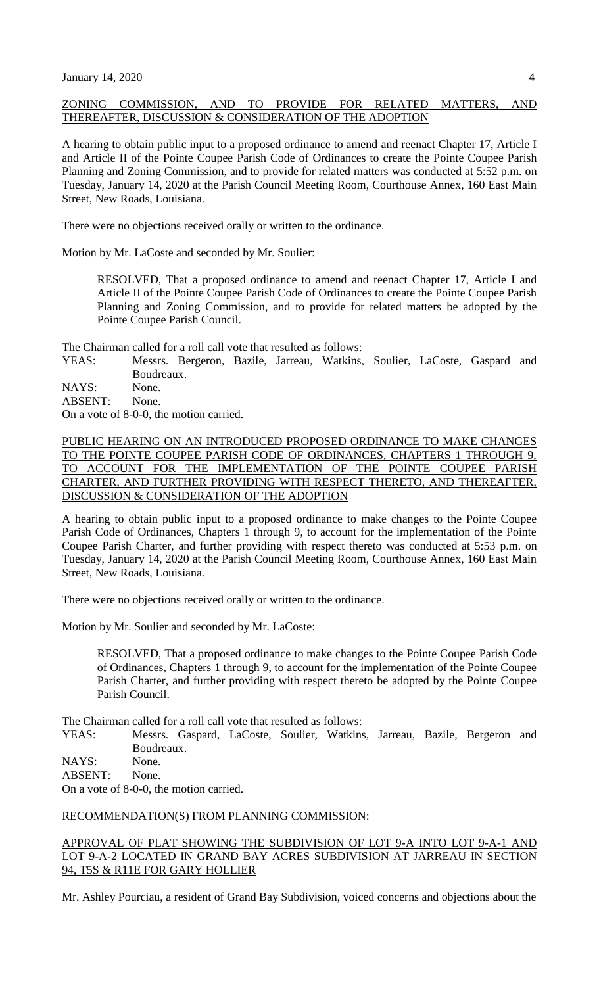# ZONING COMMISSION, AND TO PROVIDE FOR RELATED MATTERS, AND THEREAFTER, DISCUSSION & CONSIDERATION OF THE ADOPTION

A hearing to obtain public input to a proposed ordinance to amend and reenact Chapter 17, Article I and Article II of the Pointe Coupee Parish Code of Ordinances to create the Pointe Coupee Parish Planning and Zoning Commission, and to provide for related matters was conducted at 5:52 p.m. on Tuesday, January 14, 2020 at the Parish Council Meeting Room, Courthouse Annex, 160 East Main Street, New Roads, Louisiana.

There were no objections received orally or written to the ordinance.

Motion by Mr. LaCoste and seconded by Mr. Soulier:

RESOLVED, That a proposed ordinance to amend and reenact Chapter 17, Article I and Article II of the Pointe Coupee Parish Code of Ordinances to create the Pointe Coupee Parish Planning and Zoning Commission, and to provide for related matters be adopted by the Pointe Coupee Parish Council.

The Chairman called for a roll call vote that resulted as follows:

YEAS: Messrs. Bergeron, Bazile, Jarreau, Watkins, Soulier, LaCoste, Gaspard and Boudreaux.

NAYS: None.

ABSENT: None.

On a vote of 8-0-0, the motion carried.

# PUBLIC HEARING ON AN INTRODUCED PROPOSED ORDINANCE TO MAKE CHANGES TO THE POINTE COUPEE PARISH CODE OF ORDINANCES, CHAPTERS 1 THROUGH 9, TO ACCOUNT FOR THE IMPLEMENTATION OF THE POINTE COUPEE PARISH CHARTER, AND FURTHER PROVIDING WITH RESPECT THERETO, AND THEREAFTER, DISCUSSION & CONSIDERATION OF THE ADOPTION

A hearing to obtain public input to a proposed ordinance to make changes to the Pointe Coupee Parish Code of Ordinances, Chapters 1 through 9, to account for the implementation of the Pointe Coupee Parish Charter, and further providing with respect thereto was conducted at 5:53 p.m. on Tuesday, January 14, 2020 at the Parish Council Meeting Room, Courthouse Annex, 160 East Main Street, New Roads, Louisiana.

There were no objections received orally or written to the ordinance.

Motion by Mr. Soulier and seconded by Mr. LaCoste:

RESOLVED, That a proposed ordinance to make changes to the Pointe Coupee Parish Code of Ordinances, Chapters 1 through 9, to account for the implementation of the Pointe Coupee Parish Charter, and further providing with respect thereto be adopted by the Pointe Coupee Parish Council.

The Chairman called for a roll call vote that resulted as follows:

YEAS: Messrs. Gaspard, LaCoste, Soulier, Watkins, Jarreau, Bazile, Bergeron and Boudreaux.

NAYS: None.

ABSENT: None.

On a vote of 8-0-0, the motion carried.

RECOMMENDATION(S) FROM PLANNING COMMISSION:

# APPROVAL OF PLAT SHOWING THE SUBDIVISION OF LOT 9-A INTO LOT 9-A-1 AND LOT 9-A-2 LOCATED IN GRAND BAY ACRES SUBDIVISION AT JARREAU IN SECTION 94, T5S & R11E FOR GARY HOLLIER

Mr. Ashley Pourciau, a resident of Grand Bay Subdivision, voiced concerns and objections about the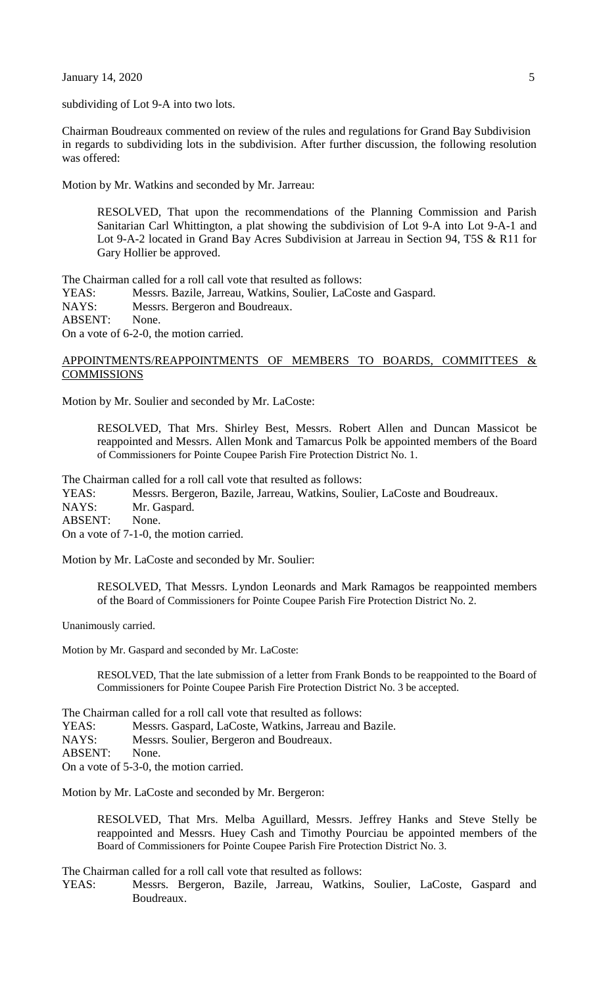**January 14, 2020** 5

subdividing of Lot 9-A into two lots.

Chairman Boudreaux commented on review of the rules and regulations for Grand Bay Subdivision in regards to subdividing lots in the subdivision. After further discussion, the following resolution was offered:

Motion by Mr. Watkins and seconded by Mr. Jarreau:

RESOLVED, That upon the recommendations of the Planning Commission and Parish Sanitarian Carl Whittington, a plat showing the subdivision of Lot 9-A into Lot 9-A-1 and Lot 9-A-2 located in Grand Bay Acres Subdivision at Jarreau in Section 94, T5S & R11 for Gary Hollier be approved.

The Chairman called for a roll call vote that resulted as follows:

YEAS: Messrs. Bazile, Jarreau, Watkins, Soulier, LaCoste and Gaspard. NAYS: Messrs. Bergeron and Boudreaux. ABSENT: None. On a vote of 6-2-0, the motion carried.

### APPOINTMENTS/REAPPOINTMENTS OF MEMBERS TO BOARDS, COMMITTEES & **COMMISSIONS**

Motion by Mr. Soulier and seconded by Mr. LaCoste:

RESOLVED, That Mrs. Shirley Best, Messrs. Robert Allen and Duncan Massicot be reappointed and Messrs. Allen Monk and Tamarcus Polk be appointed members of the Board of Commissioners for Pointe Coupee Parish Fire Protection District No. 1.

The Chairman called for a roll call vote that resulted as follows:

YEAS: Messrs. Bergeron, Bazile, Jarreau, Watkins, Soulier, LaCoste and Boudreaux. NAYS: Mr. Gaspard. ABSENT: None. On a vote of 7-1-0, the motion carried.

Motion by Mr. LaCoste and seconded by Mr. Soulier:

RESOLVED, That Messrs. Lyndon Leonards and Mark Ramagos be reappointed members of the Board of Commissioners for Pointe Coupee Parish Fire Protection District No. 2.

Unanimously carried.

Motion by Mr. Gaspard and seconded by Mr. LaCoste:

RESOLVED, That the late submission of a letter from Frank Bonds to be reappointed to the Board of Commissioners for Pointe Coupee Parish Fire Protection District No. 3 be accepted.

The Chairman called for a roll call vote that resulted as follows:

- YEAS: Messrs. Gaspard, LaCoste, Watkins, Jarreau and Bazile.
- NAYS: Messrs. Soulier, Bergeron and Boudreaux.

ABSENT: None.

On a vote of 5-3-0, the motion carried.

Motion by Mr. LaCoste and seconded by Mr. Bergeron:

RESOLVED, That Mrs. Melba Aguillard, Messrs. Jeffrey Hanks and Steve Stelly be reappointed and Messrs. Huey Cash and Timothy Pourciau be appointed members of the Board of Commissioners for Pointe Coupee Parish Fire Protection District No. 3.

The Chairman called for a roll call vote that resulted as follows:

YEAS: Messrs. Bergeron, Bazile, Jarreau, Watkins, Soulier, LaCoste, Gaspard and Boudreaux.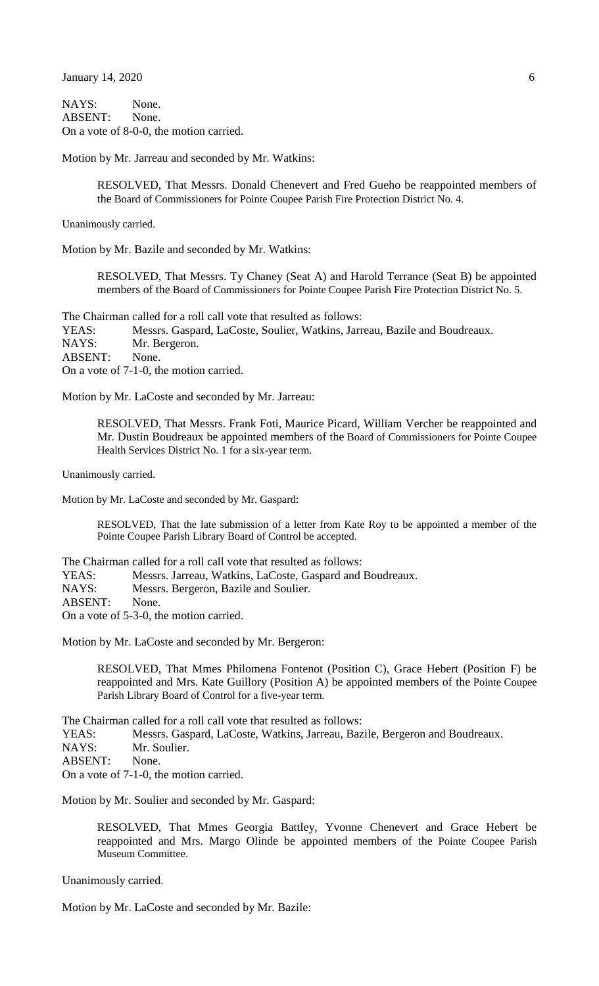January 14, 2020 6

NAYS: None. ABSENT: None. On a vote of 8-0-0, the motion carried.

Motion by Mr. Jarreau and seconded by Mr. Watkins:

RESOLVED, That Messrs. Donald Chenevert and Fred Gueho be reappointed members of the Board of Commissioners for Pointe Coupee Parish Fire Protection District No. 4.

Unanimously carried.

Motion by Mr. Bazile and seconded by Mr. Watkins:

RESOLVED, That Messrs. Ty Chaney (Seat A) and Harold Terrance (Seat B) be appointed members of the Board of Commissioners for Pointe Coupee Parish Fire Protection District No. 5.

The Chairman called for a roll call vote that resulted as follows:

YEAS: Messrs. Gaspard, LaCoste, Soulier, Watkins, Jarreau, Bazile and Boudreaux. NAYS: Mr. Bergeron. ABSENT: None. On a vote of 7-1-0, the motion carried.

Motion by Mr. LaCoste and seconded by Mr. Jarreau:

RESOLVED, That Messrs. Frank Foti, Maurice Picard, William Vercher be reappointed and Mr. Dustin Boudreaux be appointed members of the Board of Commissioners for Pointe Coupee Health Services District No. 1 for a six-year term.

Unanimously carried.

Motion by Mr. LaCoste and seconded by Mr. Gaspard:

RESOLVED, That the late submission of a letter from Kate Roy to be appointed a member of the Pointe Coupee Parish Library Board of Control be accepted.

The Chairman called for a roll call vote that resulted as follows:

YEAS: Messrs. Jarreau, Watkins, LaCoste, Gaspard and Boudreaux.

NAYS: Messrs. Bergeron, Bazile and Soulier.

ABSENT: None.

On a vote of 5-3-0, the motion carried.

Motion by Mr. LaCoste and seconded by Mr. Bergeron:

RESOLVED, That Mmes Philomena Fontenot (Position C), Grace Hebert (Position F) be reappointed and Mrs. Kate Guillory (Position A) be appointed members of the Pointe Coupee Parish Library Board of Control for a five-year term.

The Chairman called for a roll call vote that resulted as follows:

YEAS: Messrs. Gaspard, LaCoste, Watkins, Jarreau, Bazile, Bergeron and Boudreaux.

NAYS: Mr. Soulier.

ABSENT: None.

On a vote of 7-1-0, the motion carried.

Motion by Mr. Soulier and seconded by Mr. Gaspard:

RESOLVED, That Mmes Georgia Battley, Yvonne Chenevert and Grace Hebert be reappointed and Mrs. Margo Olinde be appointed members of the Pointe Coupee Parish Museum Committee.

Unanimously carried.

Motion by Mr. LaCoste and seconded by Mr. Bazile: